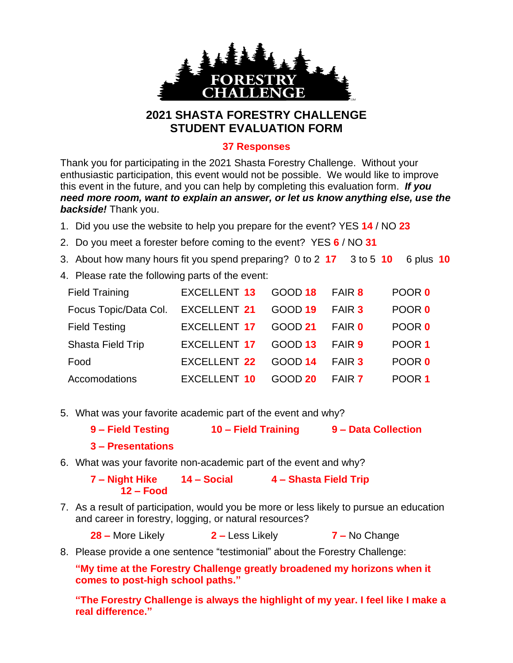

## **2021 SHASTA FORESTRY CHALLENGE STUDENT EVALUATION FORM**

## **37 Responses**

Thank you for participating in the 2021 Shasta Forestry Challenge. Without your enthusiastic participation, this event would not be possible. We would like to improve this event in the future, and you can help by completing this evaluation form. *If you need more room, want to explain an answer, or let us know anything else, use the backside!* Thank you.

- 1. Did you use the website to help you prepare for the event? YES **14** / NO **23**
- 2. Do you meet a forester before coming to the event? YES **6** / NO **31**
- 3. About how many hours fit you spend preparing? 0 to 2 **17** 3 to 5 **10** 6 plus **10**
- 4. Please rate the following parts of the event:

| <b>Field Training</b> | <b>EXCELLENT 13</b> | GOOD 18        | FAIR 8        | POOR 0 |
|-----------------------|---------------------|----------------|---------------|--------|
| Focus Topic/Data Col. | <b>EXCELLENT 21</b> | <b>GOOD 19</b> | FAIR 3        | POOR 0 |
| <b>Field Testing</b>  | <b>EXCELLENT 17</b> | <b>GOOD 21</b> | <b>FAIR 0</b> | POOR 0 |
| Shasta Field Trip     | <b>EXCELLENT 17</b> | GOOD 13        | <b>FAIR 9</b> | POOR 1 |
| Food                  | EXCELLENT 22        | <b>GOOD 14</b> | <b>FAIR 3</b> | POOR 0 |
| Accomodations         | <b>EXCELLENT 10</b> | <b>GOOD 20</b> | FAIR 7        | POOR 1 |

5. What was your favorite academic part of the event and why?

| 9 – Field Testing | 10 – Field Training | 9 - Data Collection |  |
|-------------------|---------------------|---------------------|--|
| 3 – Presentations |                     |                     |  |

6. What was your favorite non-academic part of the event and why?

**7 – Night Hike 14 – Social 4 – Shasta Field Trip 12 – Food**

7. As a result of participation, would you be more or less likely to pursue an education and career in forestry, logging, or natural resources?

**28 –** More Likely **2 –** Less Likely **7 –** No Change

8. Please provide a one sentence "testimonial" about the Forestry Challenge:

**"My time at the Forestry Challenge greatly broadened my horizons when it comes to post-high school paths."**

**"The Forestry Challenge is always the highlight of my year. I feel like I make a real difference."**